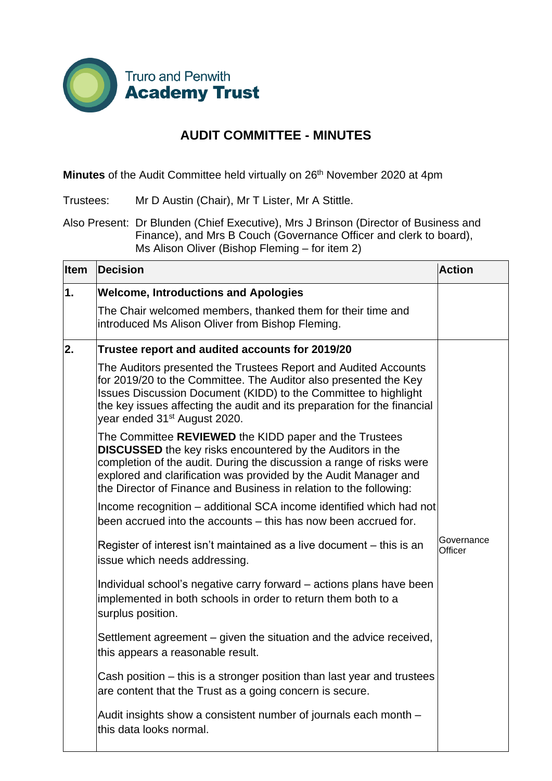

## **AUDIT COMMITTEE - MINUTES**

**Minutes** of the Audit Committee held virtually on 26<sup>th</sup> November 2020 at 4pm

Trustees: Mr D Austin (Chair), Mr T Lister, Mr A Stittle.

Also Present: Dr Blunden (Chief Executive), Mrs J Brinson (Director of Business and Finance), and Mrs B Couch (Governance Officer and clerk to board), Ms Alison Oliver (Bishop Fleming – for item 2)

| <b>Item</b> | <b>Decision</b>                                                                                                                                                                                                                                                                                                                               | <b>Action</b>         |
|-------------|-----------------------------------------------------------------------------------------------------------------------------------------------------------------------------------------------------------------------------------------------------------------------------------------------------------------------------------------------|-----------------------|
| 1.          | <b>Welcome, Introductions and Apologies</b>                                                                                                                                                                                                                                                                                                   |                       |
|             | The Chair welcomed members, thanked them for their time and<br>introduced Ms Alison Oliver from Bishop Fleming.                                                                                                                                                                                                                               |                       |
| 2.          | Trustee report and audited accounts for 2019/20                                                                                                                                                                                                                                                                                               |                       |
|             | The Auditors presented the Trustees Report and Audited Accounts<br>for 2019/20 to the Committee. The Auditor also presented the Key<br>Issues Discussion Document (KIDD) to the Committee to highlight<br>the key issues affecting the audit and its preparation for the financial<br>year ended 31 <sup>st</sup> August 2020.                |                       |
|             | The Committee REVIEWED the KIDD paper and the Trustees<br><b>DISCUSSED</b> the key risks encountered by the Auditors in the<br>completion of the audit. During the discussion a range of risks were<br>explored and clarification was provided by the Audit Manager and<br>the Director of Finance and Business in relation to the following: |                       |
|             | Income recognition – additional SCA income identified which had not<br>been accrued into the accounts – this has now been accrued for.                                                                                                                                                                                                        |                       |
|             | Register of interest isn't maintained as a live document – this is an<br>issue which needs addressing.                                                                                                                                                                                                                                        | Governance<br>Officer |
|             | Individual school's negative carry forward – actions plans have been<br>implemented in both schools in order to return them both to a<br>surplus position.                                                                                                                                                                                    |                       |
|             | Settlement agreement – given the situation and the advice received,<br>this appears a reasonable result.                                                                                                                                                                                                                                      |                       |
|             | Cash position – this is a stronger position than last year and trustees<br>are content that the Trust as a going concern is secure.                                                                                                                                                                                                           |                       |
|             | Audit insights show a consistent number of journals each month -<br>this data looks normal.                                                                                                                                                                                                                                                   |                       |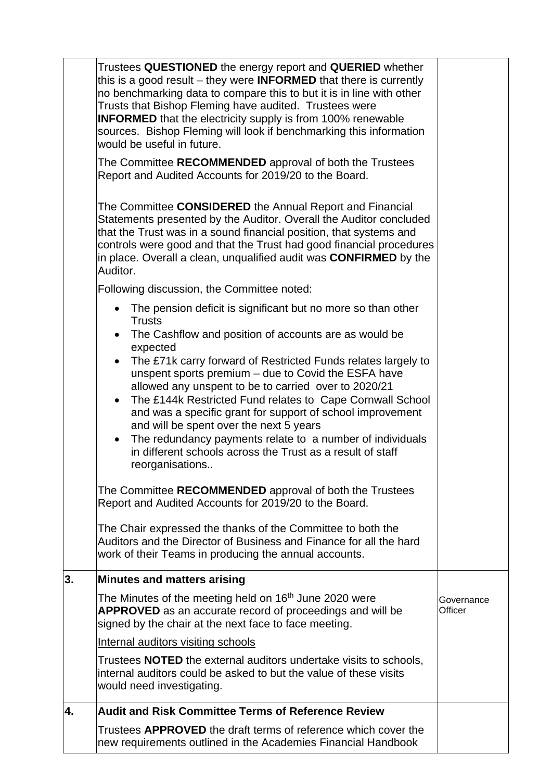|    | Trustees QUESTIONED the energy report and QUERIED whether<br>this is a good result $-$ they were <b>INFORMED</b> that there is currently<br>no benchmarking data to compare this to but it is in line with other<br>Trusts that Bishop Fleming have audited. Trustees were<br><b>INFORMED</b> that the electricity supply is from 100% renewable<br>sources. Bishop Fleming will look if benchmarking this information<br>would be useful in future.<br>The Committee RECOMMENDED approval of both the Trustees<br>Report and Audited Accounts for 2019/20 to the Board.                                                                                                                                                                                                                                                                                                                                                                                                                                        |                       |
|----|-----------------------------------------------------------------------------------------------------------------------------------------------------------------------------------------------------------------------------------------------------------------------------------------------------------------------------------------------------------------------------------------------------------------------------------------------------------------------------------------------------------------------------------------------------------------------------------------------------------------------------------------------------------------------------------------------------------------------------------------------------------------------------------------------------------------------------------------------------------------------------------------------------------------------------------------------------------------------------------------------------------------|-----------------------|
|    | The Committee CONSIDERED the Annual Report and Financial<br>Statements presented by the Auditor. Overall the Auditor concluded<br>that the Trust was in a sound financial position, that systems and<br>controls were good and that the Trust had good financial procedures<br>in place. Overall a clean, unqualified audit was <b>CONFIRMED</b> by the<br>Auditor.<br>Following discussion, the Committee noted:                                                                                                                                                                                                                                                                                                                                                                                                                                                                                                                                                                                               |                       |
|    | The pension deficit is significant but no more so than other<br>$\bullet$<br><b>Trusts</b><br>The Cashflow and position of accounts are as would be<br>expected<br>The £71k carry forward of Restricted Funds relates largely to<br>unspent sports premium - due to Covid the ESFA have<br>allowed any unspent to be to carried over to 2020/21<br>The £144k Restricted Fund relates to Cape Cornwall School<br>$\bullet$<br>and was a specific grant for support of school improvement<br>and will be spent over the next 5 years<br>The redundancy payments relate to a number of individuals<br>$\bullet$<br>in different schools across the Trust as a result of staff<br>reorganisations<br>The Committee RECOMMENDED approval of both the Trustees<br>Report and Audited Accounts for 2019/20 to the Board.<br>The Chair expressed the thanks of the Committee to both the<br>Auditors and the Director of Business and Finance for all the hard<br>work of their Teams in producing the annual accounts. |                       |
| 3. | <b>Minutes and matters arising</b>                                                                                                                                                                                                                                                                                                                                                                                                                                                                                                                                                                                                                                                                                                                                                                                                                                                                                                                                                                              |                       |
|    | The Minutes of the meeting held on 16 <sup>th</sup> June 2020 were<br><b>APPROVED</b> as an accurate record of proceedings and will be<br>signed by the chair at the next face to face meeting.                                                                                                                                                                                                                                                                                                                                                                                                                                                                                                                                                                                                                                                                                                                                                                                                                 | Governance<br>Officer |
|    | Internal auditors visiting schools                                                                                                                                                                                                                                                                                                                                                                                                                                                                                                                                                                                                                                                                                                                                                                                                                                                                                                                                                                              |                       |
|    | Trustees NOTED the external auditors undertake visits to schools,<br>internal auditors could be asked to but the value of these visits<br>would need investigating.                                                                                                                                                                                                                                                                                                                                                                                                                                                                                                                                                                                                                                                                                                                                                                                                                                             |                       |
| 4. | <b>Audit and Risk Committee Terms of Reference Review</b>                                                                                                                                                                                                                                                                                                                                                                                                                                                                                                                                                                                                                                                                                                                                                                                                                                                                                                                                                       |                       |
|    | Trustees APPROVED the draft terms of reference which cover the<br>new requirements outlined in the Academies Financial Handbook                                                                                                                                                                                                                                                                                                                                                                                                                                                                                                                                                                                                                                                                                                                                                                                                                                                                                 |                       |